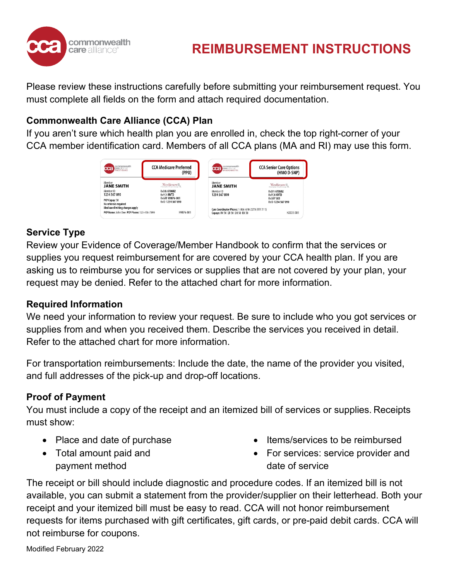

## **REIMBURSEMENT INSTRUCTIONS**

Please review these instructions carefully before submitting your reimbursement request. You must complete all fields on the form and attach required documentation.

## **Commonwealth Care Alliance (CCA) Plan**

If you aren't sure which health plan you are enrolled in, check the top right-corner of your CCA member identification card. Members of all CCA plans (MA and RI) may use this form.



## **Service Type**

Review your Evidence of Coverage/Member Handbook to confirm that the services or supplies you request reimbursement for are covered by your CCA health plan. If you are asking us to reimburse you for services or supplies that are not covered by your plan, your request may be denied. Refer to the attached chart for more information.

#### **Required Information**

We need your information to review your request. Be sure to include who you got services or supplies from and when you received them. Describe the services you received in detail. Refer to the attached chart for more information.

For transportation reimbursements: Include the date, the name of the provider you visited, and full addresses of the pick-up and drop-off locations.

## **Proof of Payment**

You must include a copy of the receipt and an itemized bill of services or supplies. Receipts must show:

- Place and date of purchase
- Total amount paid and payment method
- Items/services to be reimbursed
- For services: service provider and date of service

The receipt or bill should include diagnostic and procedure codes. If an itemized bill is not available, you can submit a statement from the provider/supplier on their letterhead. Both your receipt and your itemized bill must be easy to read. CCA will not honor reimbursement requests for items purchased with gift certificates, gift cards, or pre-paid debit cards. CCA will not reimburse for coupons.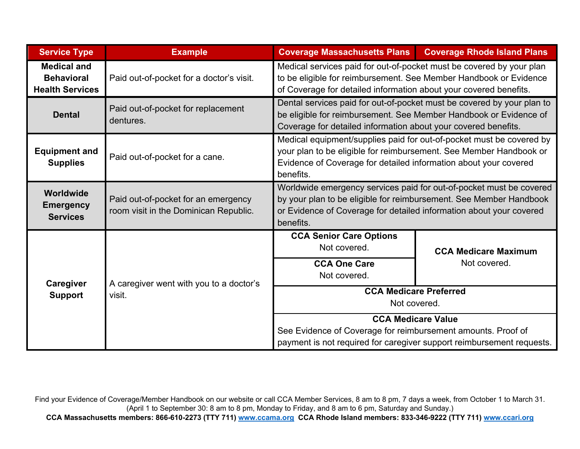| <b>Service Type</b>                                               | <b>Example</b>                                                               | <b>Coverage Massachusetts Plans</b>                                                                                                                                                                                           | <b>Coverage Rhode Island Plans</b> |
|-------------------------------------------------------------------|------------------------------------------------------------------------------|-------------------------------------------------------------------------------------------------------------------------------------------------------------------------------------------------------------------------------|------------------------------------|
| <b>Medical and</b><br><b>Behavioral</b><br><b>Health Services</b> | Paid out-of-pocket for a doctor's visit.                                     | Medical services paid for out-of-pocket must be covered by your plan<br>to be eligible for reimbursement. See Member Handbook or Evidence<br>of Coverage for detailed information about your covered benefits.                |                                    |
| <b>Dental</b>                                                     | Paid out-of-pocket for replacement<br>dentures.                              | Dental services paid for out-of-pocket must be covered by your plan to<br>be eligible for reimbursement. See Member Handbook or Evidence of<br>Coverage for detailed information about your covered benefits.                 |                                    |
| <b>Equipment and</b><br><b>Supplies</b>                           | Paid out-of-pocket for a cane.                                               | Medical equipment/supplies paid for out-of-pocket must be covered by<br>your plan to be eligible for reimbursement. See Member Handbook or<br>Evidence of Coverage for detailed information about your covered<br>benefits.   |                                    |
| Worldwide<br><b>Emergency</b><br><b>Services</b>                  | Paid out-of-pocket for an emergency<br>room visit in the Dominican Republic. | Worldwide emergency services paid for out-of-pocket must be covered<br>by your plan to be eligible for reimbursement. See Member Handbook<br>or Evidence of Coverage for detailed information about your covered<br>benefits. |                                    |
| Caregiver<br><b>Support</b>                                       | A caregiver went with you to a doctor's<br>visit.                            | <b>CCA Senior Care Options</b><br>Not covered.                                                                                                                                                                                | <b>CCA Medicare Maximum</b>        |
|                                                                   |                                                                              | <b>CCA One Care</b><br>Not covered.                                                                                                                                                                                           | Not covered.                       |
|                                                                   |                                                                              | <b>CCA Medicare Preferred</b><br>Not covered.                                                                                                                                                                                 |                                    |
|                                                                   |                                                                              | <b>CCA Medicare Value</b><br>See Evidence of Coverage for reimbursement amounts. Proof of<br>payment is not required for caregiver support reimbursement requests.                                                            |                                    |

Find your Evidence of Coverage/Member Handbook on our website or call CCA Member Services, 8 am to 8 pm, 7 days a week, from October 1 to March 31. (April 1 to September 30: 8 am to 8 pm, Monday to Friday, and 8 am to 6 pm, Saturday and Sunday.)

**CCA Massachusetts members: 866-610-2273 (TTY 711) [www.ccama.org](http://www.ccama.org/) CCA Rhode Island members: 833-346-9222 (TTY 711) [www.ccari.org](http://www.ccari.org/)**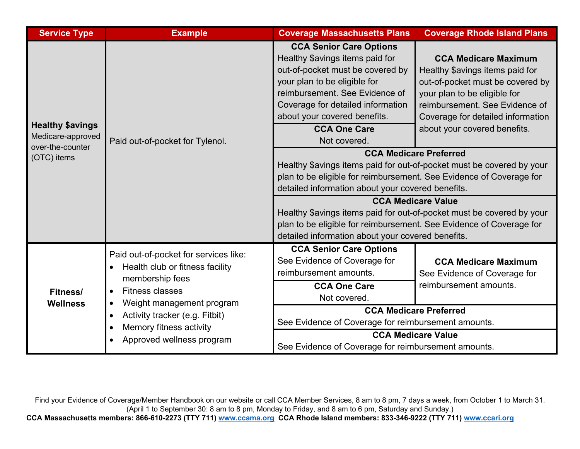| <b>Service Type</b>                                                             | <b>Example</b>                                                                                                                                                                                                                                                                      | <b>Coverage Massachusetts Plans</b>                                                                                                                                                                                                                                                 | <b>Coverage Rhode Island Plans</b>                                                                                                                                                                                                        |
|---------------------------------------------------------------------------------|-------------------------------------------------------------------------------------------------------------------------------------------------------------------------------------------------------------------------------------------------------------------------------------|-------------------------------------------------------------------------------------------------------------------------------------------------------------------------------------------------------------------------------------------------------------------------------------|-------------------------------------------------------------------------------------------------------------------------------------------------------------------------------------------------------------------------------------------|
| <b>Healthy \$avings</b><br>Medicare-approved<br>over-the-counter<br>(OTC) items | Paid out-of-pocket for Tylenol.                                                                                                                                                                                                                                                     | <b>CCA Senior Care Options</b><br>Healthy \$avings items paid for<br>out-of-pocket must be covered by<br>your plan to be eligible for<br>reimbursement. See Evidence of<br>Coverage for detailed information<br>about your covered benefits.<br><b>CCA One Care</b><br>Not covered. | <b>CCA Medicare Maximum</b><br>Healthy \$avings items paid for<br>out-of-pocket must be covered by<br>your plan to be eligible for<br>reimbursement. See Evidence of<br>Coverage for detailed information<br>about your covered benefits. |
|                                                                                 |                                                                                                                                                                                                                                                                                     | <b>CCA Medicare Preferred</b><br>Healthy \$avings items paid for out-of-pocket must be covered by your<br>plan to be eligible for reimbursement. See Evidence of Coverage for<br>detailed information about your covered benefits.                                                  |                                                                                                                                                                                                                                           |
|                                                                                 |                                                                                                                                                                                                                                                                                     | <b>CCA Medicare Value</b><br>Healthy \$avings items paid for out-of-pocket must be covered by your<br>plan to be eligible for reimbursement. See Evidence of Coverage for<br>detailed information about your covered benefits.                                                      |                                                                                                                                                                                                                                           |
| <b>Fitness/</b><br><b>Wellness</b>                                              | Paid out-of-pocket for services like:<br>Health club or fitness facility<br>membership fees<br><b>Fitness classes</b><br>$\bullet$<br>Weight management program<br>$\bullet$<br>Activity tracker (e.g. Fitbit)<br>$\bullet$<br>Memory fitness activity<br>Approved wellness program | <b>CCA Senior Care Options</b><br>See Evidence of Coverage for<br>reimbursement amounts.<br><b>CCA One Care</b><br>Not covered.                                                                                                                                                     | <b>CCA Medicare Maximum</b><br>See Evidence of Coverage for<br>reimbursement amounts.                                                                                                                                                     |
|                                                                                 |                                                                                                                                                                                                                                                                                     | <b>CCA Medicare Preferred</b><br>See Evidence of Coverage for reimbursement amounts.                                                                                                                                                                                                |                                                                                                                                                                                                                                           |
|                                                                                 |                                                                                                                                                                                                                                                                                     | <b>CCA Medicare Value</b><br>See Evidence of Coverage for reimbursement amounts.                                                                                                                                                                                                    |                                                                                                                                                                                                                                           |

Find your Evidence of Coverage/Member Handbook on our website or call CCA Member Services, 8 am to 8 pm, 7 days a week, from October 1 to March 31. (April 1 to September 30: 8 am to 8 pm, Monday to Friday, and 8 am to 6 pm, Saturday and Sunday.) **CCA Massachusetts members: 866-610-2273 (TTY 711) [www.ccama.org](http://www.ccama.org/) CCA Rhode Island members: 833-346-9222 (TTY 711) [www.ccari.org](http://www.ccari.org/)**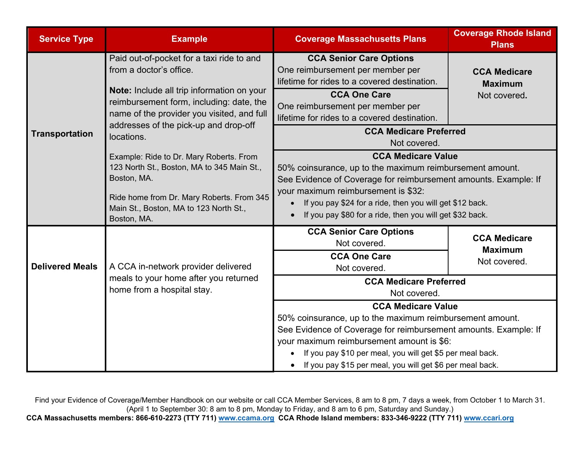| <b>Service Type</b>    | <b>Example</b>                                                                                                                                                                                             | <b>Coverage Massachusetts Plans</b>                                                                                                                                                                                                                                                                                                  | <b>Coverage Rhode Island</b><br><b>Plans</b>          |
|------------------------|------------------------------------------------------------------------------------------------------------------------------------------------------------------------------------------------------------|--------------------------------------------------------------------------------------------------------------------------------------------------------------------------------------------------------------------------------------------------------------------------------------------------------------------------------------|-------------------------------------------------------|
| <b>Transportation</b>  | Paid out-of-pocket for a taxi ride to and<br>from a doctor's office.                                                                                                                                       | <b>CCA Senior Care Options</b><br>One reimbursement per member per<br>lifetime for rides to a covered destination.                                                                                                                                                                                                                   | <b>CCA Medicare</b><br><b>Maximum</b>                 |
|                        | Note: Include all trip information on your<br>reimbursement form, including: date, the<br>name of the provider you visited, and full<br>addresses of the pick-up and drop-off<br>locations.                | <b>CCA One Care</b><br>One reimbursement per member per<br>lifetime for rides to a covered destination.                                                                                                                                                                                                                              | Not covered.                                          |
|                        |                                                                                                                                                                                                            | <b>CCA Medicare Preferred</b><br>Not covered.                                                                                                                                                                                                                                                                                        |                                                       |
|                        | Example: Ride to Dr. Mary Roberts. From<br>123 North St., Boston, MA to 345 Main St.,<br>Boston, MA.<br>Ride home from Dr. Mary Roberts. From 345<br>Main St., Boston, MA to 123 North St.,<br>Boston, MA. | <b>CCA Medicare Value</b><br>50% coinsurance, up to the maximum reimbursement amount.<br>See Evidence of Coverage for reimbursement amounts. Example: If<br>your maximum reimbursement is \$32:<br>If you pay \$24 for a ride, then you will get \$12 back.<br>$\bullet$<br>If you pay \$80 for a ride, then you will get \$32 back. |                                                       |
| <b>Delivered Meals</b> | A CCA in-network provider delivered<br>meals to your home after you returned<br>home from a hospital stay.                                                                                                 | <b>CCA Senior Care Options</b><br>Not covered.<br><b>CCA One Care</b><br>Not covered.                                                                                                                                                                                                                                                | <b>CCA Medicare</b><br><b>Maximum</b><br>Not covered. |
|                        |                                                                                                                                                                                                            | <b>CCA Medicare Preferred</b><br>Not covered.                                                                                                                                                                                                                                                                                        |                                                       |
|                        |                                                                                                                                                                                                            | <b>CCA Medicare Value</b>                                                                                                                                                                                                                                                                                                            |                                                       |
|                        |                                                                                                                                                                                                            | 50% coinsurance, up to the maximum reimbursement amount.<br>See Evidence of Coverage for reimbursement amounts. Example: If<br>your maximum reimbursement amount is \$6:                                                                                                                                                             |                                                       |
|                        |                                                                                                                                                                                                            |                                                                                                                                                                                                                                                                                                                                      |                                                       |
|                        | If you pay \$10 per meal, you will get \$5 per meal back.<br>If you pay \$15 per meal, you will get \$6 per meal back.                                                                                     |                                                                                                                                                                                                                                                                                                                                      |                                                       |

Find your Evidence of Coverage/Member Handbook on our website or call CCA Member Services, 8 am to 8 pm, 7 days a week, from October 1 to March 31. (April 1 to September 30: 8 am to 8 pm, Monday to Friday, and 8 am to 6 pm, Saturday and Sunday.) **CCA Massachusetts members: 866-610-2273 (TTY 711) [www.ccama.org](http://www.ccama.org/) CCA Rhode Island members: 833-346-9222 (TTY 711) [www.ccari.org](http://www.ccari.org/)**